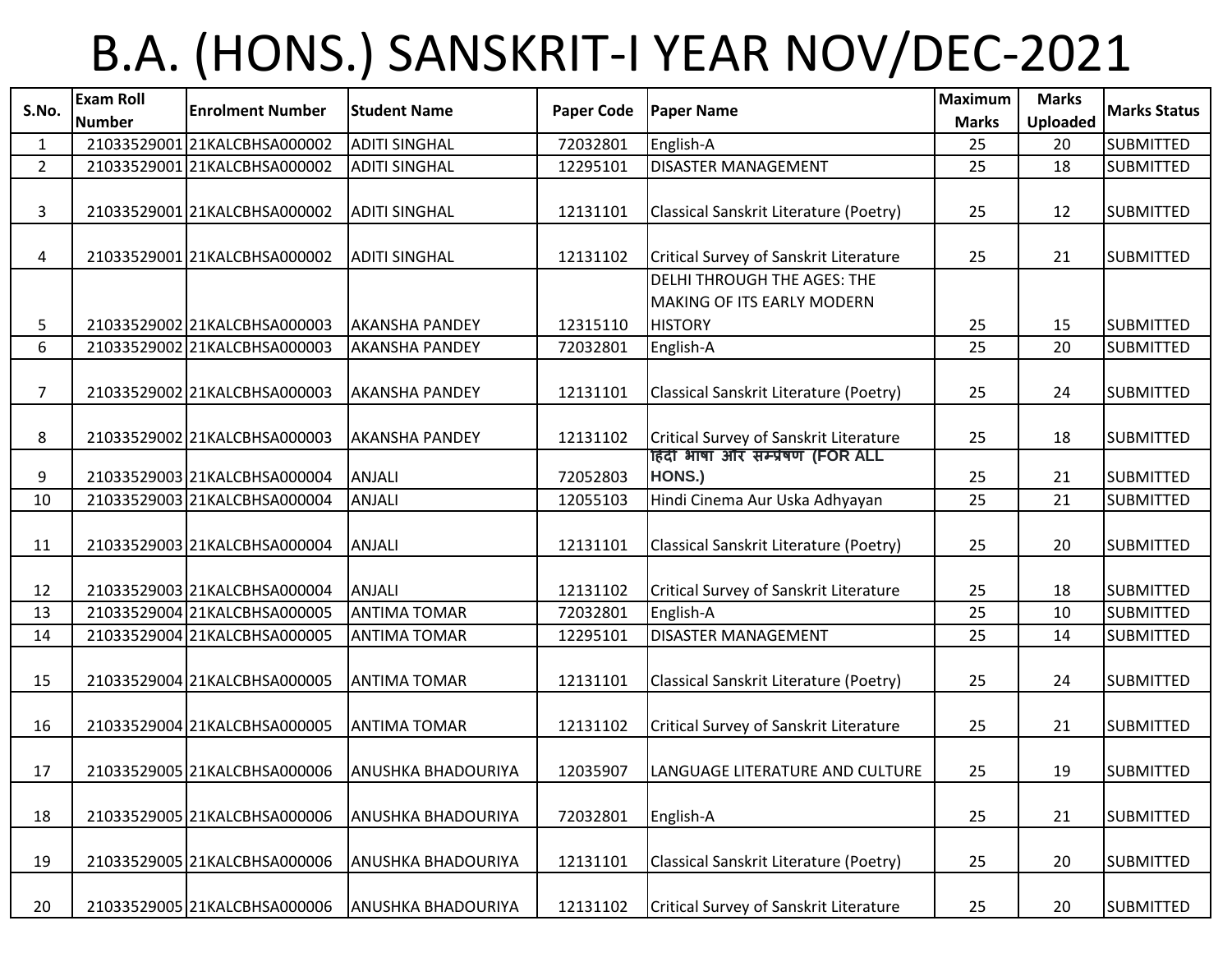## B.A. (HONS.) SANSKRIT-I YEAR NOV/DEC-2021

| S.No.          | <b>Exam Roll</b> | <b>Enrolment Number</b>      | <b>Student Name</b>       | <b>Paper Code</b> | <b>Paper Name</b>                                         | <b>Maximum</b>     | <b>Marks</b>          | <b>Marks Status</b> |
|----------------|------------------|------------------------------|---------------------------|-------------------|-----------------------------------------------------------|--------------------|-----------------------|---------------------|
| $\mathbf{1}$   | <b>Number</b>    | 21033529001 21KALCBHSA000002 | <b>ADITI SINGHAL</b>      | 72032801          | English-A                                                 | <b>Marks</b><br>25 | <b>Uploaded</b><br>20 | <b>SUBMITTED</b>    |
| $2^{\circ}$    |                  | 21033529001 21KALCBHSA000002 | <b>ADITI SINGHAL</b>      | 12295101          | <b>DISASTER MANAGEMENT</b>                                | 25                 | 18                    | <b>SUBMITTED</b>    |
|                |                  |                              |                           |                   |                                                           |                    |                       |                     |
| 3              |                  | 21033529001 21KALCBHSA000002 | <b>ADITI SINGHAL</b>      | 12131101          | Classical Sanskrit Literature (Poetry)                    | 25                 | 12                    | <b>SUBMITTED</b>    |
| 4              |                  | 21033529001 21KALCBHSA000002 | <b>ADITI SINGHAL</b>      | 12131102          | Critical Survey of Sanskrit Literature                    | 25                 | 21                    | <b>SUBMITTED</b>    |
|                |                  |                              |                           |                   | DELHI THROUGH THE AGES: THE<br>MAKING OF ITS EARLY MODERN |                    |                       |                     |
| 5              |                  | 21033529002 21KALCBHSA000003 | <b>AKANSHA PANDEY</b>     | 12315110          | <b>HISTORY</b>                                            | 25                 | 15                    | <b>SUBMITTED</b>    |
| 6              |                  | 21033529002 21KALCBHSA000003 | <b>AKANSHA PANDEY</b>     | 72032801          | English-A                                                 | 25                 | 20                    | <b>SUBMITTED</b>    |
| $\overline{7}$ |                  | 21033529002 21KALCBHSA000003 | <b>AKANSHA PANDEY</b>     | 12131101          | Classical Sanskrit Literature (Poetry)                    | 25                 | 24                    | <b>SUBMITTED</b>    |
| 8              |                  | 21033529002 21KALCBHSA000003 | <b>AKANSHA PANDEY</b>     | 12131102          | Critical Survey of Sanskrit Literature                    | 25                 | 18                    | <b>SUBMITTED</b>    |
| 9              |                  | 21033529003 21KALCBHSA000004 | ANJALI                    | 72052803          | हिंदी भाषा और सम्प्रेषण (FOR ALL<br>HONS.)                | 25                 | 21                    | <b>SUBMITTED</b>    |
| 10             |                  | 21033529003 21KALCBHSA000004 | <b>ANJALI</b>             | 12055103          | Hindi Cinema Aur Uska Adhyayan                            | 25                 | 21                    | <b>SUBMITTED</b>    |
| 11             |                  | 21033529003 21KALCBHSA000004 | ANJALI                    | 12131101          | Classical Sanskrit Literature (Poetry)                    | 25                 | 20                    | <b>SUBMITTED</b>    |
| 12             |                  | 21033529003 21KALCBHSA000004 | ANJALI                    | 12131102          | Critical Survey of Sanskrit Literature                    | 25                 | 18                    | <b>SUBMITTED</b>    |
| 13             |                  | 21033529004 21KALCBHSA000005 | <b>ANTIMA TOMAR</b>       | 72032801          | English-A                                                 | 25                 | 10                    | <b>SUBMITTED</b>    |
| 14             |                  | 21033529004 21KALCBHSA000005 | <b>ANTIMA TOMAR</b>       | 12295101          | DISASTER MANAGEMENT                                       | 25                 | 14                    | <b>SUBMITTED</b>    |
| 15             |                  | 21033529004 21KALCBHSA000005 | <b>ANTIMA TOMAR</b>       | 12131101          | Classical Sanskrit Literature (Poetry)                    | 25                 | 24                    | <b>SUBMITTED</b>    |
| 16             |                  | 21033529004 21KALCBHSA000005 | <b>ANTIMA TOMAR</b>       | 12131102          | Critical Survey of Sanskrit Literature                    | 25                 | 21                    | <b>SUBMITTED</b>    |
| 17             |                  | 21033529005 21KALCBHSA000006 | <b>ANUSHKA BHADOURIYA</b> | 12035907          | LANGUAGE LITERATURE AND CULTURE                           | 25                 | 19                    | <b>SUBMITTED</b>    |
| 18             |                  | 21033529005 21KALCBHSA000006 | <b>ANUSHKA BHADOURIYA</b> | 72032801          | English-A                                                 | 25                 | 21                    | <b>SUBMITTED</b>    |
| 19             |                  | 21033529005 21KALCBHSA000006 | <b>ANUSHKA BHADOURIYA</b> | 12131101          | Classical Sanskrit Literature (Poetry)                    | 25                 | 20                    | <b>SUBMITTED</b>    |
| 20             |                  | 21033529005 21KALCBHSA000006 | <b>ANUSHKA BHADOURIYA</b> | 12131102          | Critical Survey of Sanskrit Literature                    | 25                 | 20                    | <b>SUBMITTED</b>    |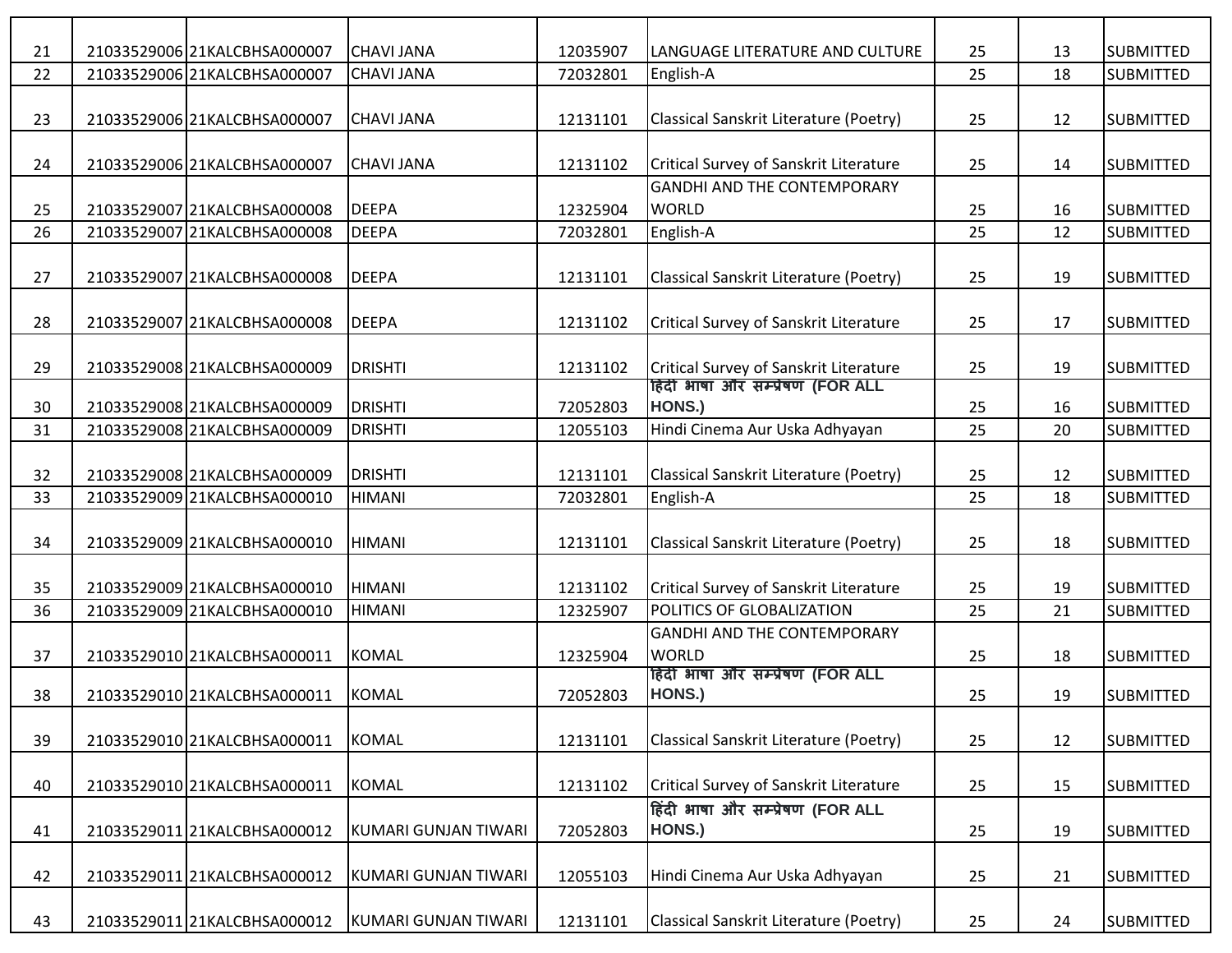| 21 |                              |                      |          |                                        |    |    | <b>SUBMITTED</b> |
|----|------------------------------|----------------------|----------|----------------------------------------|----|----|------------------|
|    | 21033529006 21KALCBHSA000007 | <b>CHAVI JANA</b>    | 12035907 | LANGUAGE LITERATURE AND CULTURE        | 25 | 13 |                  |
| 22 | 21033529006 21KALCBHSA000007 | <b>CHAVI JANA</b>    | 72032801 | English-A                              | 25 | 18 | <b>SUBMITTED</b> |
|    |                              |                      |          |                                        |    |    |                  |
| 23 | 21033529006 21KALCBHSA000007 | <b>CHAVI JANA</b>    | 12131101 | Classical Sanskrit Literature (Poetry) | 25 | 12 | <b>SUBMITTED</b> |
|    |                              |                      |          |                                        |    |    |                  |
| 24 | 21033529006 21KALCBHSA000007 | <b>CHAVI JANA</b>    | 12131102 | Critical Survey of Sanskrit Literature | 25 | 14 | <b>SUBMITTED</b> |
|    |                              |                      |          | <b>GANDHI AND THE CONTEMPORARY</b>     |    |    |                  |
| 25 | 21033529007 21KALCBHSA000008 | <b>DEEPA</b>         | 12325904 | <b>WORLD</b>                           | 25 | 16 | <b>SUBMITTED</b> |
| 26 | 21033529007 21KALCBHSA000008 | <b>DEEPA</b>         | 72032801 | English-A                              | 25 | 12 | <b>SUBMITTED</b> |
|    |                              |                      |          |                                        |    |    |                  |
| 27 | 21033529007 21KALCBHSA000008 | <b>DEEPA</b>         | 12131101 | Classical Sanskrit Literature (Poetry) | 25 | 19 | <b>SUBMITTED</b> |
|    |                              |                      |          |                                        |    |    |                  |
| 28 | 21033529007 21KALCBHSA000008 | <b>DEEPA</b>         | 12131102 | Critical Survey of Sanskrit Literature | 25 | 17 | <b>SUBMITTED</b> |
|    |                              |                      |          |                                        |    |    |                  |
| 29 | 21033529008 21KALCBHSA000009 | <b>DRISHTI</b>       | 12131102 | Critical Survey of Sanskrit Literature | 25 | 19 | <b>SUBMITTED</b> |
|    |                              |                      |          | हिंदी भाषा और सम्प्रेषण (FOR ALL       |    |    |                  |
| 30 | 21033529008 21KALCBHSA000009 | <b>DRISHTI</b>       | 72052803 | HONS.)                                 | 25 | 16 | <b>SUBMITTED</b> |
| 31 | 21033529008 21KALCBHSA000009 | <b>DRISHTI</b>       | 12055103 | Hindi Cinema Aur Uska Adhyayan         | 25 | 20 | <b>SUBMITTED</b> |
|    |                              |                      |          |                                        |    |    |                  |
|    |                              |                      |          |                                        |    |    |                  |
| 32 | 21033529008 21KALCBHSA000009 | <b>DRISHTI</b>       | 12131101 | Classical Sanskrit Literature (Poetry) | 25 | 12 | <b>SUBMITTED</b> |
| 33 | 21033529009 21KALCBHSA000010 | <b>HIMANI</b>        | 72032801 | English-A                              | 25 | 18 | <b>SUBMITTED</b> |
|    |                              |                      |          |                                        |    |    |                  |
| 34 | 21033529009 21KALCBHSA000010 | <b>HIMANI</b>        | 12131101 | Classical Sanskrit Literature (Poetry) | 25 | 18 | <b>SUBMITTED</b> |
|    |                              |                      |          |                                        |    |    |                  |
| 35 | 21033529009 21KALCBHSA000010 | <b>HIMANI</b>        | 12131102 | Critical Survey of Sanskrit Literature | 25 | 19 | <b>SUBMITTED</b> |
| 36 | 21033529009 21KALCBHSA000010 | <b>HIMANI</b>        | 12325907 | POLITICS OF GLOBALIZATION              | 25 | 21 | <b>SUBMITTED</b> |
|    |                              |                      |          | <b>GANDHI AND THE CONTEMPORARY</b>     |    |    |                  |
| 37 | 21033529010 21KALCBHSA000011 | <b>KOMAL</b>         | 12325904 | <b>WORLD</b>                           | 25 | 18 | <b>SUBMITTED</b> |
|    |                              |                      |          | हिंदी भाषा और सम्प्रेषण (FOR ALL       |    |    |                  |
| 38 | 21033529010 21KALCBHSA000011 | <b>KOMAL</b>         | 72052803 | HONS.)                                 | 25 | 19 | <b>SUBMITTED</b> |
|    |                              |                      |          |                                        |    |    |                  |
| 39 | 21033529010 21KALCBHSA000011 | <b>KOMAL</b>         | 12131101 | Classical Sanskrit Literature (Poetry) | 25 | 12 | <b>SUBMITTED</b> |
|    |                              |                      |          |                                        |    |    |                  |
| 40 | 21033529010 21KALCBHSA000011 | <b>KOMAL</b>         | 12131102 | Critical Survey of Sanskrit Literature | 25 | 15 | <b>SUBMITTED</b> |
|    |                              |                      |          | हिंदी भाषा और सम्प्रेषण (FOR ALL       |    |    |                  |
| 41 | 21033529011 21KALCBHSA000012 | KUMARI GUNJAN TIWARI | 72052803 | HONS.)                                 | 25 | 19 | <b>SUBMITTED</b> |
|    |                              |                      |          |                                        |    |    |                  |
|    |                              |                      |          | Hindi Cinema Aur Uska Adhyayan         |    |    |                  |
| 42 | 21033529011 21KALCBHSA000012 | KUMARI GUNJAN TIWARI | 12055103 |                                        | 25 | 21 | <b>SUBMITTED</b> |
|    |                              |                      |          |                                        |    |    |                  |
| 43 | 21033529011 21KALCBHSA000012 | KUMARI GUNJAN TIWARI | 12131101 | Classical Sanskrit Literature (Poetry) | 25 | 24 | <b>SUBMITTED</b> |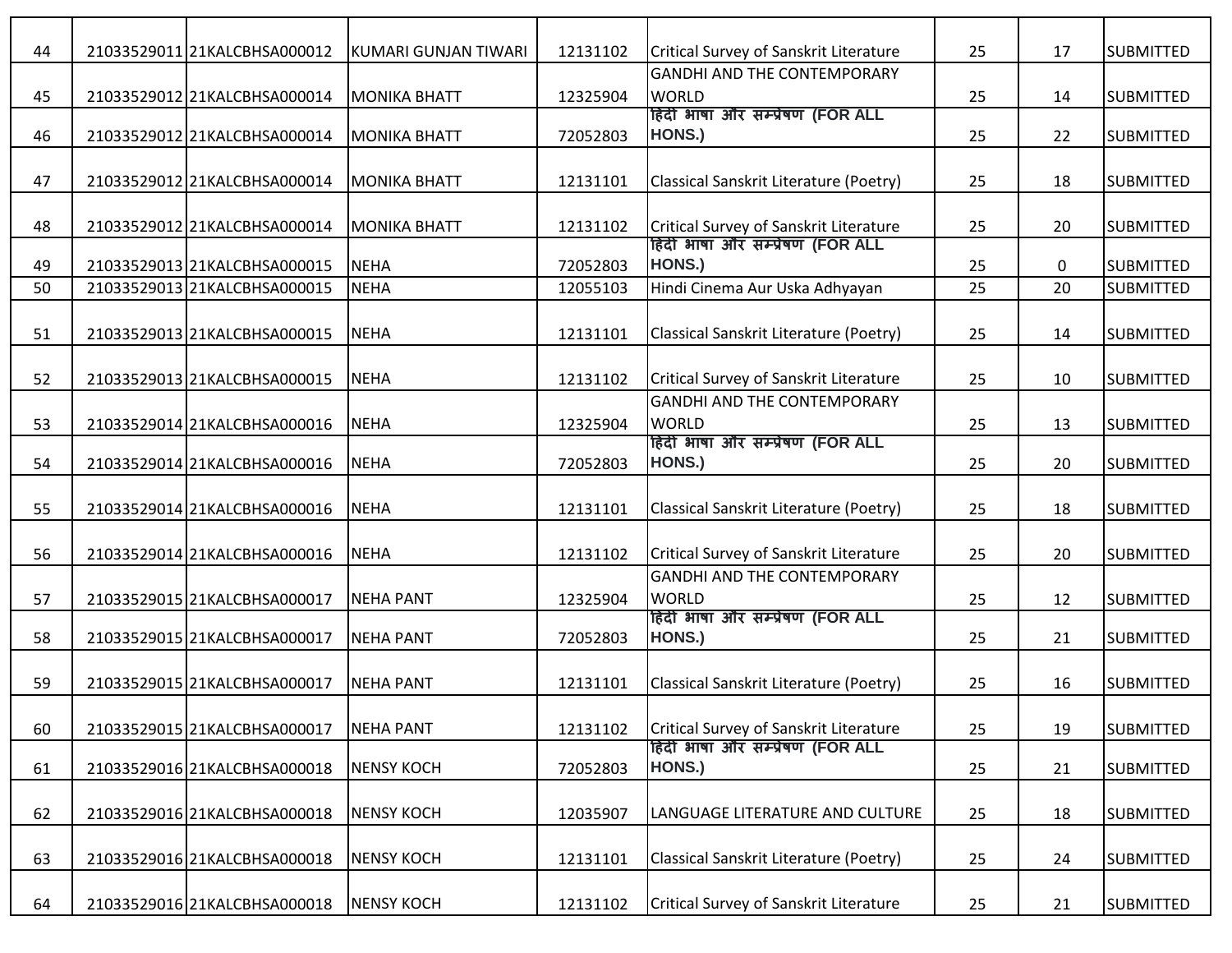| 44 | 21033529011 21KALCBHSA000012 | KUMARI GUNJAN TIWARI | 12131102 | Critical Survey of Sanskrit Literature             | 25 | 17          | <b>SUBMITTED</b> |
|----|------------------------------|----------------------|----------|----------------------------------------------------|----|-------------|------------------|
|    |                              |                      |          | <b>GANDHI AND THE CONTEMPORARY</b>                 |    |             |                  |
| 45 | 21033529012 21KALCBHSA000014 | <b>MONIKA BHATT</b>  | 12325904 | <b>WORLD</b>                                       | 25 | 14          | <b>SUBMITTED</b> |
|    |                              |                      |          | हिंदी भाषा और सम्प्रेषण (FOR ALL                   |    |             |                  |
| 46 | 21033529012 21KALCBHSA000014 | <b>MONIKA BHATT</b>  | 72052803 | HONS.)                                             | 25 | 22          | <b>SUBMITTED</b> |
| 47 | 21033529012 21KALCBHSA000014 | <b>MONIKA BHATT</b>  | 12131101 | Classical Sanskrit Literature (Poetry)             | 25 | 18          | <b>SUBMITTED</b> |
| 48 | 21033529012 21KALCBHSA000014 | <b>MONIKA BHATT</b>  | 12131102 | Critical Survey of Sanskrit Literature             | 25 | 20          | <b>SUBMITTED</b> |
| 49 | 21033529013 21KALCBHSA000015 | <b>NEHA</b>          | 72052803 | हिंदी भाषा और सम्प्रेषण (FOR ALL<br>HONS.)         | 25 | $\mathbf 0$ | <b>SUBMITTED</b> |
| 50 | 21033529013 21KALCBHSA000015 | <b>NEHA</b>          | 12055103 | Hindi Cinema Aur Uska Adhyayan                     | 25 | 20          | <b>SUBMITTED</b> |
| 51 | 21033529013 21KALCBHSA000015 | <b>NEHA</b>          | 12131101 | Classical Sanskrit Literature (Poetry)             | 25 | 14          | <b>SUBMITTED</b> |
| 52 | 21033529013 21KALCBHSA000015 | <b>NEHA</b>          | 12131102 | Critical Survey of Sanskrit Literature             | 25 | 10          | <b>SUBMITTED</b> |
| 53 | 21033529014 21KALCBHSA000016 | <b>NEHA</b>          | 12325904 | <b>GANDHI AND THE CONTEMPORARY</b><br><b>WORLD</b> | 25 | 13          | <b>SUBMITTED</b> |
| 54 | 21033529014 21KALCBHSA000016 | <b>NEHA</b>          | 72052803 | हिंदी भाषा और सम्प्रेषण (FOR ALL<br>HONS.)         | 25 | 20          | <b>SUBMITTED</b> |
| 55 | 21033529014 21KALCBHSA000016 | <b>NEHA</b>          | 12131101 | Classical Sanskrit Literature (Poetry)             | 25 | 18          | <b>SUBMITTED</b> |
| 56 | 21033529014 21KALCBHSA000016 | <b>NEHA</b>          | 12131102 | Critical Survey of Sanskrit Literature             | 25 | 20          | <b>SUBMITTED</b> |
| 57 | 21033529015 21KALCBHSA000017 | <b>NEHA PANT</b>     | 12325904 | <b>GANDHI AND THE CONTEMPORARY</b><br><b>WORLD</b> | 25 | 12          | <b>SUBMITTED</b> |
| 58 | 21033529015 21KALCBHSA000017 | <b>NEHA PANT</b>     | 72052803 | हिंदी भाषा और सम्प्रेषण (FOR ALL<br>HONS.)         | 25 | 21          | <b>SUBMITTED</b> |
| 59 | 21033529015 21KALCBHSA000017 | <b>NEHA PANT</b>     | 12131101 | Classical Sanskrit Literature (Poetry)             | 25 | 16          | <b>SUBMITTED</b> |
| 60 | 21033529015 21KALCBHSA000017 | <b>NEHA PANT</b>     | 12131102 | Critical Survey of Sanskrit Literature             | 25 | 19          | <b>SUBMITTED</b> |
| 61 | 21033529016 21KALCBHSA000018 | <b>NENSY KOCH</b>    | 72052803 | हिंदी भाषा और सम्प्रेषण (FOR ALL<br>HONS.)         | 25 | 21          | <b>SUBMITTED</b> |
| 62 | 21033529016 21KALCBHSA000018 | <b>NENSY KOCH</b>    | 12035907 | LANGUAGE LITERATURE AND CULTURE                    | 25 | 18          | <b>SUBMITTED</b> |
| 63 | 21033529016 21KALCBHSA000018 | <b>NENSY KOCH</b>    | 12131101 | Classical Sanskrit Literature (Poetry)             | 25 | 24          | <b>SUBMITTED</b> |
| 64 | 21033529016 21KALCBHSA000018 | <b>NENSY KOCH</b>    | 12131102 | Critical Survey of Sanskrit Literature             | 25 | 21          | <b>SUBMITTED</b> |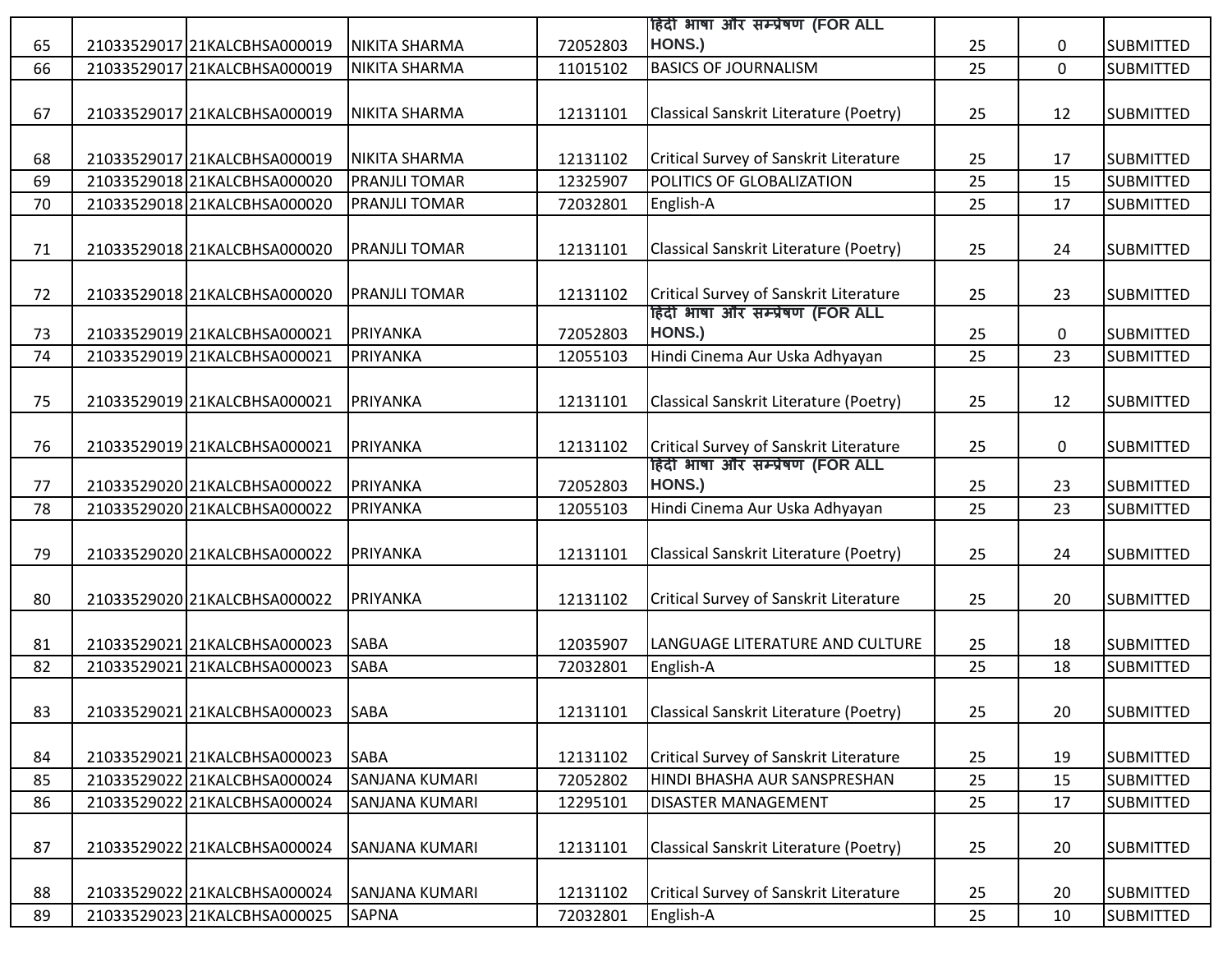|          |                                                              |                       |                      | हिंदी भाषा और सम्प्रेषण (FOR ALL                                           |          |             |                                      |
|----------|--------------------------------------------------------------|-----------------------|----------------------|----------------------------------------------------------------------------|----------|-------------|--------------------------------------|
| 65       | 21033529017 21KALCBHSA000019                                 | NIKITA SHARMA         | 72052803             | HONS.)                                                                     | 25       | 0           | <b>SUBMITTED</b>                     |
| 66       | 21033529017 21KALCBHSA000019                                 | NIKITA SHARMA         | 11015102             | <b>BASICS OF JOURNALISM</b>                                                | 25       | $\mathbf 0$ | <b>SUBMITTED</b>                     |
|          |                                                              |                       |                      |                                                                            |          |             |                                      |
| 67       | 21033529017 21KALCBHSA000019                                 | <b>NIKITA SHARMA</b>  | 12131101             | Classical Sanskrit Literature (Poetry)                                     | 25       | 12          | <b>SUBMITTED</b>                     |
|          |                                                              |                       |                      |                                                                            |          |             |                                      |
| 68       | 21033529017 21KALCBHSA000019                                 | <b>NIKITA SHARMA</b>  | 12131102             | Critical Survey of Sanskrit Literature                                     | 25       | 17          | <b>SUBMITTED</b>                     |
| 69       | 21033529018 21KALCBHSA000020                                 | <b>PRANJLI TOMAR</b>  | 12325907             | POLITICS OF GLOBALIZATION                                                  | 25       | 15          | <b>SUBMITTED</b>                     |
| 70       | 21033529018 21KALCBHSA000020                                 | <b>PRANJLI TOMAR</b>  | 72032801             | English-A                                                                  | 25       | 17          | <b>SUBMITTED</b>                     |
|          |                                                              |                       |                      |                                                                            |          |             |                                      |
| 71       | 21033529018 21KALCBHSA000020                                 | <b>PRANJLI TOMAR</b>  | 12131101             | Classical Sanskrit Literature (Poetry)                                     | 25       | 24          | <b>SUBMITTED</b>                     |
|          |                                                              |                       |                      |                                                                            |          |             |                                      |
| 72       | 21033529018 21KALCBHSA000020                                 | <b>PRANJLI TOMAR</b>  | 12131102             | Critical Survey of Sanskrit Literature                                     | 25       | 23          | <b>SUBMITTED</b>                     |
|          |                                                              |                       |                      | हिंदी भाषा और सम्प्रेषण (FOR ALL                                           |          |             |                                      |
| 73       | 21033529019 21KALCBHSA000021                                 | PRIYANKA              | 72052803             | HONS.)                                                                     | 25       | 0           | <b>SUBMITTED</b>                     |
| 74       | 21033529019 21KALCBHSA000021                                 | PRIYANKA              | 12055103             | Hindi Cinema Aur Uska Adhyayan                                             | 25       | 23          | <b>SUBMITTED</b>                     |
|          |                                                              |                       |                      |                                                                            |          |             |                                      |
| 75       | 21033529019 21KALCBHSA000021                                 | PRIYANKA              | 12131101             | Classical Sanskrit Literature (Poetry)                                     | 25       | 12          | <b>SUBMITTED</b>                     |
|          |                                                              |                       |                      |                                                                            |          |             |                                      |
| 76       | 21033529019 21KALCBHSA000021                                 | PRIYANKA              | 12131102             | Critical Survey of Sanskrit Literature<br>हिंदी भाषा और सम्प्रेषण (FOR ALL | 25       | $\mathbf 0$ | <b>SUBMITTED</b>                     |
| 77       | 21033529020 21KALCBHSA000022                                 | PRIYANKA              | 72052803             | HONS.)                                                                     | 25       | 23          | <b>SUBMITTED</b>                     |
| 78       | 21033529020 21KALCBHSA000022                                 | PRIYANKA              | 12055103             | Hindi Cinema Aur Uska Adhyayan                                             | 25       | 23          | <b>SUBMITTED</b>                     |
|          |                                                              |                       |                      |                                                                            |          |             |                                      |
| 79       | 21033529020 21KALCBHSA000022                                 | PRIYANKA              | 12131101             | Classical Sanskrit Literature (Poetry)                                     | 25       |             | <b>SUBMITTED</b>                     |
|          |                                                              |                       |                      |                                                                            |          |             |                                      |
|          |                                                              |                       |                      |                                                                            |          | 24          |                                      |
|          |                                                              |                       |                      |                                                                            |          |             |                                      |
| 80       | 21033529020 21KALCBHSA000022                                 | PRIYANKA              | 12131102             | Critical Survey of Sanskrit Literature                                     | 25       | 20          | <b>SUBMITTED</b>                     |
|          |                                                              |                       |                      |                                                                            |          |             |                                      |
| 81       | 21033529021 21KALCBHSA000023                                 | <b>SABA</b>           | 12035907             | LANGUAGE LITERATURE AND CULTURE                                            | 25       | 18          | <b>SUBMITTED</b>                     |
| 82       | 21033529021 21KALCBHSA000023                                 | <b>SABA</b>           | 72032801             | English-A                                                                  | 25       | 18          | SUBMITTED                            |
|          |                                                              |                       |                      |                                                                            |          |             |                                      |
| 83       | 21033529021 21KALCBHSA000023 SABA                            |                       | 12131101             | Classical Sanskrit Literature (Poetry)                                     | 25       | 20          | <b>SUBMITTED</b>                     |
|          |                                                              |                       |                      |                                                                            |          |             |                                      |
| 84       | 21033529021 21KALCBHSA000023                                 | <b>SABA</b>           | 12131102             | Critical Survey of Sanskrit Literature                                     | 25       | 19          | <b>SUBMITTED</b>                     |
| 85       | 21033529022 21KALCBHSA000024                                 | <b>SANJANA KUMARI</b> | 72052802             | HINDI BHASHA AUR SANSPRESHAN                                               | 25       | 15          | <b>SUBMITTED</b>                     |
| 86       | 21033529022 21KALCBHSA000024                                 | <b>SANJANA KUMARI</b> | 12295101             | DISASTER MANAGEMENT                                                        | 25       | 17          | <b>SUBMITTED</b>                     |
|          | 21033529022 21KALCBHSA000024                                 |                       |                      |                                                                            |          |             |                                      |
| 87       |                                                              | <b>SANJANA KUMARI</b> | 12131101             | Classical Sanskrit Literature (Poetry)                                     | 25       | 20          | <b>SUBMITTED</b>                     |
|          |                                                              | <b>SANJANA KUMARI</b> |                      |                                                                            |          |             |                                      |
| 88<br>89 | 21033529022 21KALCBHSA000024<br>21033529023 21KALCBHSA000025 | <b>SAPNA</b>          | 12131102<br>72032801 | Critical Survey of Sanskrit Literature<br>English-A                        | 25<br>25 | 20<br>10    | <b>SUBMITTED</b><br><b>SUBMITTED</b> |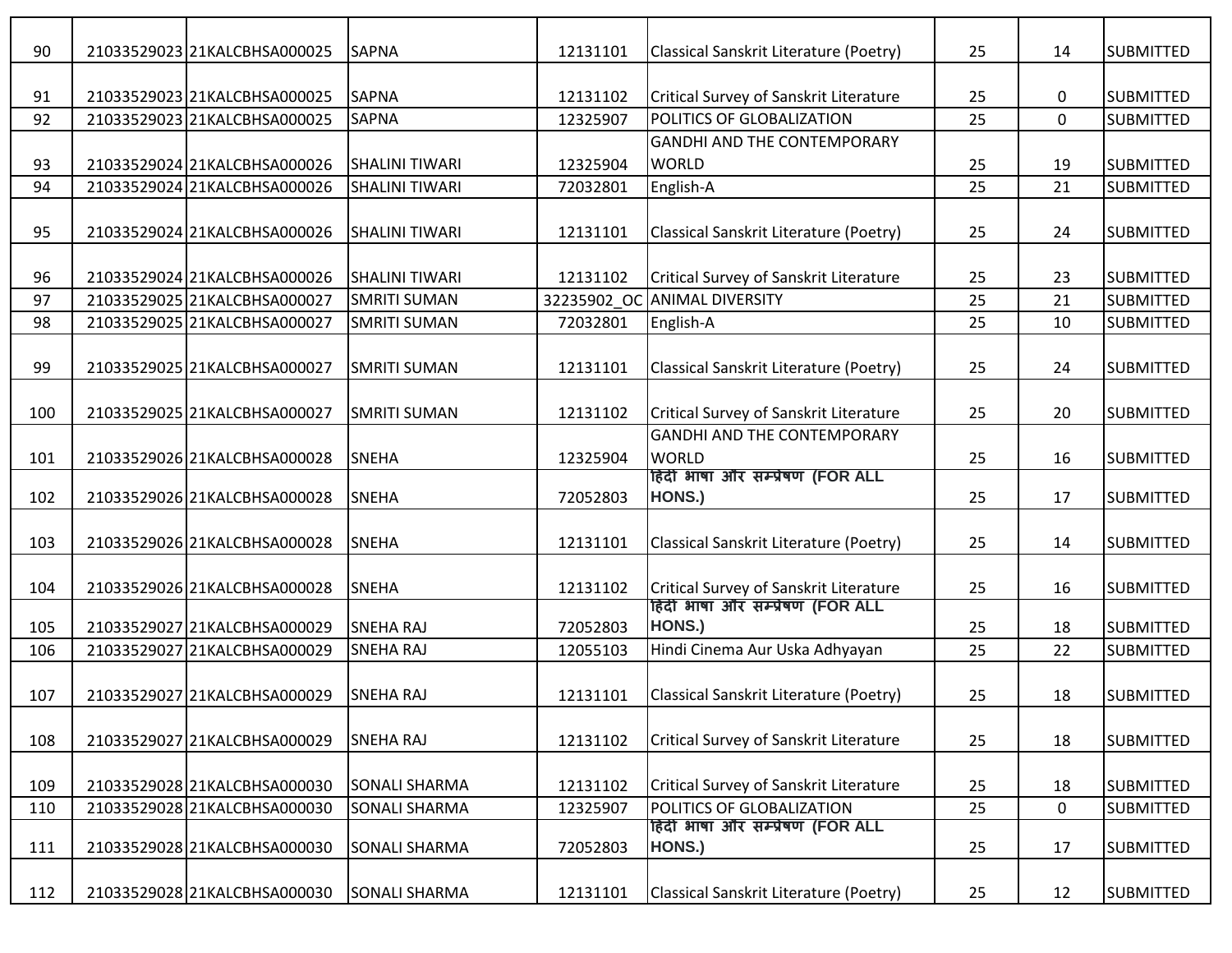| 90  | 21033529023 21KALCBHSA000025 | <b>SAPNA</b>          | 12131101 | Classical Sanskrit Literature (Poetry)        | 25 | 14          | <b>SUBMITTED</b> |
|-----|------------------------------|-----------------------|----------|-----------------------------------------------|----|-------------|------------------|
|     |                              |                       |          |                                               |    |             |                  |
| 91  | 21033529023 21KALCBHSA000025 | <b>SAPNA</b>          | 12131102 | Critical Survey of Sanskrit Literature        | 25 | $\mathbf 0$ | <b>SUBMITTED</b> |
| 92  | 2103352902321KALCBHSA000025  | <b>SAPNA</b>          | 12325907 | POLITICS OF GLOBALIZATION                     | 25 | $\mathbf 0$ | <b>SUBMITTED</b> |
|     |                              |                       |          | <b>GANDHI AND THE CONTEMPORARY</b>            |    |             |                  |
| 93  | 21033529024 21KALCBHSA000026 | <b>SHALINI TIWARI</b> | 12325904 | <b>WORLD</b>                                  | 25 | 19          | <b>SUBMITTED</b> |
| 94  | 21033529024 21KALCBHSA000026 | <b>SHALINI TIWARI</b> | 72032801 | English-A                                     | 25 | 21          | <b>SUBMITTED</b> |
|     |                              |                       |          |                                               |    |             |                  |
| 95  | 21033529024 21KALCBHSA000026 | <b>SHALINI TIWARI</b> | 12131101 | Classical Sanskrit Literature (Poetry)        | 25 | 24          | <b>SUBMITTED</b> |
|     |                              |                       |          |                                               |    |             |                  |
| 96  | 21033529024 21KALCBHSA000026 | <b>SHALINI TIWARI</b> | 12131102 | Critical Survey of Sanskrit Literature        | 25 | 23          | <b>SUBMITTED</b> |
| 97  | 21033529025 21KALCBHSA000027 | <b>SMRITI SUMAN</b>   |          | 32235902_OC ANIMAL DIVERSITY                  | 25 | 21          | <b>SUBMITTED</b> |
| 98  | 21033529025 21KALCBHSA000027 | <b>SMRITI SUMAN</b>   | 72032801 | English-A                                     | 25 | 10          | <b>SUBMITTED</b> |
|     |                              |                       |          |                                               |    |             |                  |
| 99  | 21033529025 21KALCBHSA000027 | <b>SMRITI SUMAN</b>   | 12131101 | Classical Sanskrit Literature (Poetry)        | 25 | 24          | <b>SUBMITTED</b> |
|     |                              |                       |          |                                               |    |             |                  |
| 100 | 21033529025 21KALCBHSA000027 | <b>SMRITI SUMAN</b>   | 12131102 | Critical Survey of Sanskrit Literature        | 25 | 20          | <b>SUBMITTED</b> |
|     |                              |                       |          | <b>GANDHI AND THE CONTEMPORARY</b>            |    |             |                  |
| 101 | 21033529026 21KALCBHSA000028 | <b>SNEHA</b>          | 12325904 | <b>WORLD</b>                                  | 25 | 16          | <b>SUBMITTED</b> |
|     |                              | <b>SNEHA</b>          |          | हिंदी भाषा और सम्प्रेषण (FOR ALL<br>HONS.)    |    |             |                  |
| 102 | 21033529026 21KALCBHSA000028 |                       | 72052803 |                                               | 25 | 17          | <b>SUBMITTED</b> |
| 103 | 21033529026 21KALCBHSA000028 | <b>SNEHA</b>          | 12131101 | Classical Sanskrit Literature (Poetry)        | 25 | 14          | <b>SUBMITTED</b> |
|     |                              |                       |          |                                               |    |             |                  |
| 104 | 21033529026 21KALCBHSA000028 | <b>SNEHA</b>          | 12131102 | Critical Survey of Sanskrit Literature        | 25 | 16          | <b>SUBMITTED</b> |
|     |                              |                       |          | हिंदी भाषा और सम्प्रेषण (FOR ALL              |    |             |                  |
| 105 | 21033529027 21KALCBHSA000029 | <b>SNEHA RAJ</b>      | 72052803 | HONS.)                                        | 25 | 18          | <b>SUBMITTED</b> |
| 106 | 21033529027 21KALCBHSA000029 | <b>SNEHA RAJ</b>      | 12055103 | Hindi Cinema Aur Uska Adhyayan                | 25 | 22          | <b>SUBMITTED</b> |
|     |                              |                       |          |                                               |    |             |                  |
| 107 | 21033529027 21KALCBHSA000029 | <b>SNEHA RAJ</b>      | 12131101 | Classical Sanskrit Literature (Poetry)        | 25 | 18          | <b>SUBMITTED</b> |
|     |                              |                       |          |                                               |    |             |                  |
| 108 | 21033529027 21KALCBHSA000029 | <b>SNEHA RAJ</b>      | 12131102 | <b>Critical Survey of Sanskrit Literature</b> | 25 | 18          | <b>SUBMITTED</b> |
|     |                              |                       |          |                                               |    |             |                  |
| 109 | 21033529028 21KALCBHSA000030 | <b>SONALI SHARMA</b>  | 12131102 | Critical Survey of Sanskrit Literature        | 25 | 18          | <b>SUBMITTED</b> |
| 110 | 21033529028 21KALCBHSA000030 | <b>SONALI SHARMA</b>  | 12325907 | POLITICS OF GLOBALIZATION                     | 25 | $\mathbf 0$ | <b>SUBMITTED</b> |
|     |                              |                       |          | हिंदी भाषा और सम्प्रेषण (FOR ALL              |    |             |                  |
| 111 | 21033529028 21KALCBHSA000030 | <b>SONALI SHARMA</b>  | 72052803 | HONS.)                                        | 25 | 17          | <b>SUBMITTED</b> |
|     |                              |                       |          |                                               |    |             |                  |
| 112 | 21033529028 21KALCBHSA000030 | <b>SONALI SHARMA</b>  | 12131101 | Classical Sanskrit Literature (Poetry)        | 25 | 12          | <b>SUBMITTED</b> |